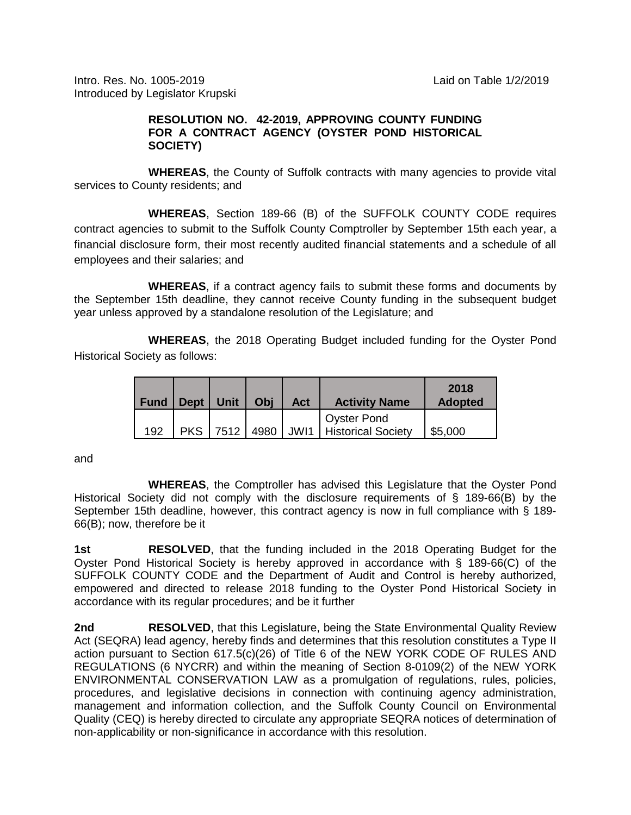Intro. Res. No. 1005-2019 Laid on Table 1/2/2019 Introduced by Legislator Krupski

## **RESOLUTION NO. 42-2019, APPROVING COUNTY FUNDING FOR A CONTRACT AGENCY (OYSTER POND HISTORICAL SOCIETY)**

**WHEREAS**, the County of Suffolk contracts with many agencies to provide vital services to County residents; and

**WHEREAS**, Section 189-66 (B) of the SUFFOLK COUNTY CODE requires contract agencies to submit to the Suffolk County Comptroller by September 15th each year, a financial disclosure form, their most recently audited financial statements and a schedule of all employees and their salaries; and

**WHEREAS**, if a contract agency fails to submit these forms and documents by the September 15th deadline, they cannot receive County funding in the subsequent budget year unless approved by a standalone resolution of the Legislature; and

**WHEREAS**, the 2018 Operating Budget included funding for the Oyster Pond Historical Society as follows:

| Fund | <b>Dept</b> | Unit | Obi  | Act  | <b>Activity Name</b>                            | 2018<br><b>Adopted</b> |
|------|-------------|------|------|------|-------------------------------------------------|------------------------|
| 192  | <b>PKS</b>  | 7512 | 4980 | JWI1 | <b>Oyster Pond</b><br><b>Historical Society</b> | \$5,000                |

and

**WHEREAS**, the Comptroller has advised this Legislature that the Oyster Pond Historical Society did not comply with the disclosure requirements of § 189-66(B) by the September 15th deadline, however, this contract agency is now in full compliance with § 189-66(B); now, therefore be it

**1st RESOLVED**, that the funding included in the 2018 Operating Budget for the Oyster Pond Historical Society is hereby approved in accordance with § 189-66(C) of the SUFFOLK COUNTY CODE and the Department of Audit and Control is hereby authorized, empowered and directed to release 2018 funding to the Oyster Pond Historical Society in accordance with its regular procedures; and be it further

**2nd RESOLVED**, that this Legislature, being the State Environmental Quality Review Act (SEQRA) lead agency, hereby finds and determines that this resolution constitutes a Type II action pursuant to Section 617.5(c)(26) of Title 6 of the NEW YORK CODE OF RULES AND REGULATIONS (6 NYCRR) and within the meaning of Section 8-0109(2) of the NEW YORK ENVIRONMENTAL CONSERVATION LAW as a promulgation of regulations, rules, policies, procedures, and legislative decisions in connection with continuing agency administration, management and information collection, and the Suffolk County Council on Environmental Quality (CEQ) is hereby directed to circulate any appropriate SEQRA notices of determination of non-applicability or non-significance in accordance with this resolution.